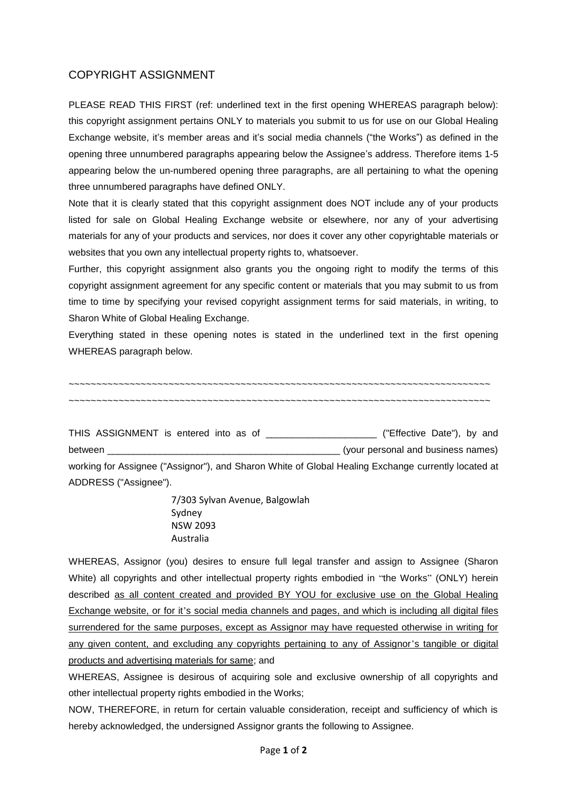## COPYRIGHT ASSIGNMENT

PLEASE READ THIS FIRST (ref: underlined text in the first opening WHEREAS paragraph below): this copyright assignment pertains ONLY to materials you submit to us for use on our Global Healing Exchange website, it's member areas and it's social media channels ("the Works") as defined in the opening three unnumbered paragraphs appearing below the Assignee's address. Therefore items 1-5 appearing below the un-numbered opening three paragraphs, are all pertaining to what the opening three unnumbered paragraphs have defined ONLY.

Note that it is clearly stated that this copyright assignment does NOT include any of your products listed for sale on Global Healing Exchange website or elsewhere, nor any of your advertising materials for any of your products and services, nor does it cover any other copyrightable materials or websites that you own any intellectual property rights to, whatsoever.

Further, this copyright assignment also grants you the ongoing right to modify the terms of this copyright assignment agreement for any specific content or materials that you may submit to us from time to time by specifying your revised copyright assignment terms for said materials, in writing, to Sharon White of Global Healing Exchange.

Everything stated in these opening notes is stated in the underlined text in the first opening WHEREAS paragraph below.

~~~~~~~~~~~~~~~~~~~~~~~~~~~~~~~~~~~~~~~~~~~~~~~~~~~~~~~~~~~~~~~~~~~~~~~~~~~~ ~~~~~~~~~~~~~~~~~~~~~~~~~~~~~~~~~~~~~~~~~~~~~~~~~~~~~~~~~~~~~~~~~~~~~~~~~~~~

THIS ASSIGNMENT is entered into as of \_\_\_\_\_\_\_\_\_\_\_\_\_\_\_\_\_\_\_\_\_ ("Effective Date"), by and between **between between between between between between between between between between between between between between between between between between between between between bet** working for Assignee ("Assignor"), and Sharon White of Global Healing Exchange currently located at ADDRESS ("Assignee").

> 7/303 Sylvan Avenue, Balgowlah Sydney NSW 2093 Australia

WHEREAS, Assignor (you) desires to ensure full legal transfer and assign to Assignee (Sharon White) all copyrights and other intellectual property rights embodied in "the Works" (ONLY) herein described as all content created and provided BY YOU for exclusive use on the Global Healing Exchange website, or for it's social media channels and pages, and which is including all digital files surrendered for the same purposes, except as Assignor may have requested otherwise in writing for any given content, and excluding any copyrights pertaining to any of Assignor's tangible or digital products and advertising materials for same; and

WHEREAS, Assignee is desirous of acquiring sole and exclusive ownership of all copyrights and other intellectual property rights embodied in the Works;

NOW, THEREFORE, in return for certain valuable consideration, receipt and sufficiency of which is hereby acknowledged, the undersigned Assignor grants the following to Assignee.